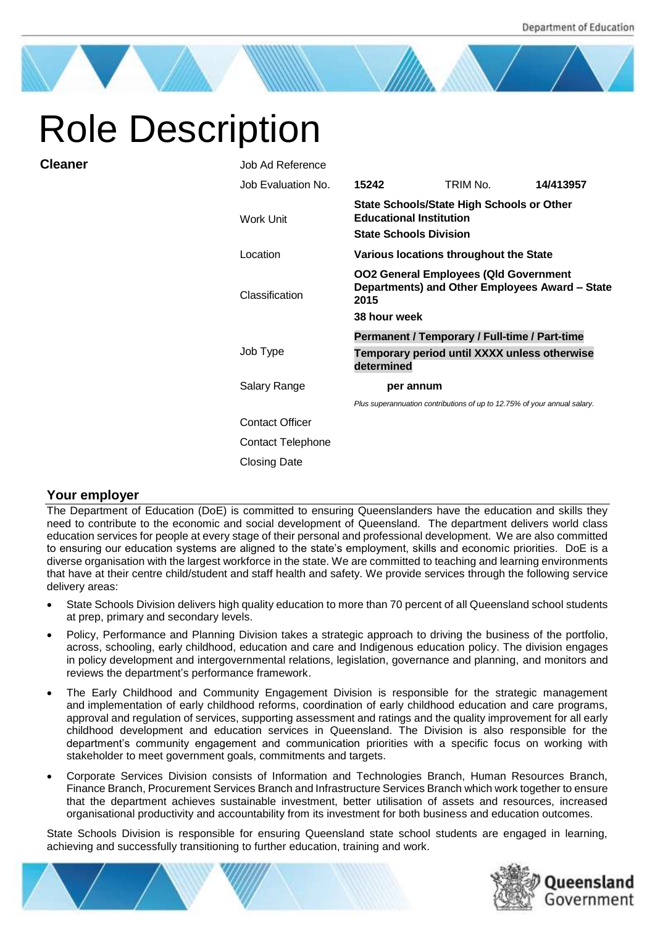# Role Description

| Job Ad Reference       |                                                                                                                        |                                               |           |
|------------------------|------------------------------------------------------------------------------------------------------------------------|-----------------------------------------------|-----------|
| Job Evaluation No.     | 15242                                                                                                                  | TRIM No.                                      | 14/413957 |
| Work Unit              | <b>State Schools/State High Schools or Other</b><br><b>Educational Institution</b><br><b>State Schools Division</b>    |                                               |           |
| Location               | Various locations throughout the State                                                                                 |                                               |           |
| Classification         | <b>OO2 General Employees (Qld Government</b><br>Departments) and Other Employees Award - State<br>2015<br>38 hour week |                                               |           |
|                        |                                                                                                                        | Permanent / Temporary / Full-time / Part-time |           |
| Job Type               | Temporary period until XXXX unless otherwise<br>determined                                                             |                                               |           |
| Salary Range           | per annum                                                                                                              |                                               |           |
|                        | Plus superannuation contributions of up to 12.75% of your annual salary.                                               |                                               |           |
| <b>Contact Officer</b> |                                                                                                                        |                                               |           |
| Contact Telephone      |                                                                                                                        |                                               |           |
| <b>Closing Date</b>    |                                                                                                                        |                                               |           |

# **Your employer**

**Cleaner** 

The Department of Education (DoE) is committed to ensuring Queenslanders have the education and skills they need to contribute to the economic and social development of Queensland. The department delivers world class education services for people at every stage of their personal and professional development. We are also committed to ensuring our education systems are aligned to the state's employment, skills and economic priorities. DoE is a diverse organisation with the largest workforce in the state. We are committed to teaching and learning environments that have at their centre child/student and staff health and safety. We provide services through the following service delivery areas:

- State Schools Division delivers high quality education to more than 70 percent of all Queensland school students at prep, primary and secondary levels.
- Policy, Performance and Planning Division takes a strategic approach to driving the business of the portfolio, across, schooling, early childhood, education and care and Indigenous education policy. The division engages in policy development and intergovernmental relations, legislation, governance and planning, and monitors and reviews the department's performance framework.
- The Early Childhood and Community Engagement Division is responsible for the strategic management and implementation of early childhood reforms, coordination of early childhood education and care programs, approval and regulation of services, supporting assessment and ratings and the quality improvement for all early childhood development and education services in Queensland. The Division is also responsible for the department's community engagement and communication priorities with a specific focus on working with stakeholder to meet government goals, commitments and targets.
- Corporate Services Division consists of Information and Technologies Branch, Human Resources Branch, Finance Branch, Procurement Services Branch and Infrastructure Services Branch which work together to ensure that the department achieves sustainable investment, better utilisation of assets and resources, increased organisational productivity and accountability from its investment for both business and education outcomes.

State Schools Division is responsible for ensuring Queensland state school students are engaged in learning, achieving and successfully transitioning to further education, training and work.



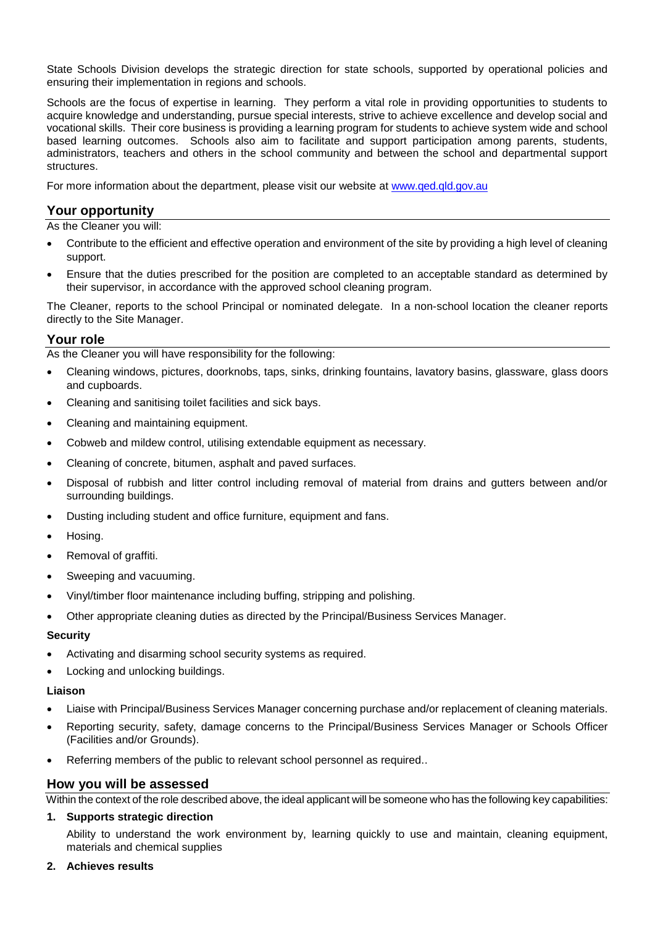State Schools Division develops the strategic direction for state schools, supported by operational policies and ensuring their implementation in regions and schools.

Schools are the focus of expertise in learning. They perform a vital role in providing opportunities to students to acquire knowledge and understanding, pursue special interests, strive to achieve excellence and develop social and vocational skills. Their core business is providing a learning program for students to achieve system wide and school based learning outcomes. Schools also aim to facilitate and support participation among parents, students, administrators, teachers and others in the school community and between the school and departmental support structures.

For more information about the department, please visit our website at [www.qed.qld.gov.au](http://www.qed.qld.gov.au/)

## **Your opportunity**

As the Cleaner you will:

- Contribute to the efficient and effective operation and environment of the site by providing a high level of cleaning support.
- Ensure that the duties prescribed for the position are completed to an acceptable standard as determined by their supervisor, in accordance with the approved school cleaning program.

The Cleaner, reports to the school Principal or nominated delegate. In a non-school location the cleaner reports directly to the Site Manager.

## **Your role**

As the Cleaner you will have responsibility for the following:

- Cleaning windows, pictures, doorknobs, taps, sinks, drinking fountains, lavatory basins, glassware, glass doors and cupboards.
- Cleaning and sanitising toilet facilities and sick bays.
- Cleaning and maintaining equipment.
- Cobweb and mildew control, utilising extendable equipment as necessary.
- Cleaning of concrete, bitumen, asphalt and paved surfaces.
- Disposal of rubbish and litter control including removal of material from drains and gutters between and/or surrounding buildings.
- Dusting including student and office furniture, equipment and fans.
- Hosing.
- Removal of graffiti.
- Sweeping and vacuuming.
- Vinyl/timber floor maintenance including buffing, stripping and polishing.
- Other appropriate cleaning duties as directed by the Principal/Business Services Manager.

#### **Security**

- Activating and disarming school security systems as required.
- Locking and unlocking buildings.

#### **Liaison**

- Liaise with Principal/Business Services Manager concerning purchase and/or replacement of cleaning materials.
- Reporting security, safety, damage concerns to the Principal/Business Services Manager or Schools Officer (Facilities and/or Grounds).
- Referring members of the public to relevant school personnel as required..

## **How you will be assessed**

Within the context of the role described above, the ideal applicant will be someone who has the following key capabilities:

#### **1. Supports strategic direction**

Ability to understand the work environment by, learning quickly to use and maintain, cleaning equipment, materials and chemical supplies

#### **2. Achieves results**